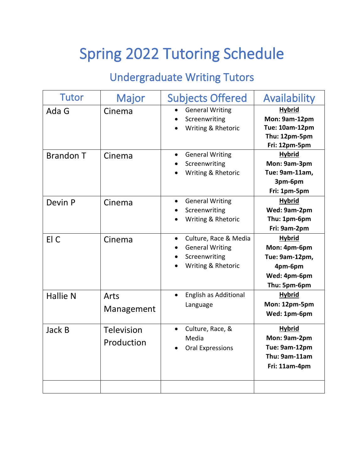# Spring 2022 Tutoring Schedule

### Undergraduate Writing Tutors

| <b>Tutor</b>     | Major                           | <b>Subjects Offered</b>                                                                             | Availability                                                                               |
|------------------|---------------------------------|-----------------------------------------------------------------------------------------------------|--------------------------------------------------------------------------------------------|
| Ada G            | Cinema                          | <b>General Writing</b><br>$\bullet$<br>Screenwriting<br>Writing & Rhetoric                          | <b>Hybrid</b><br>Mon: 9am-12pm<br>Tue: 10am-12pm<br>Thu: 12pm-5pm<br>Fri: 12pm-5pm         |
| <b>Brandon T</b> | Cinema                          | <b>General Writing</b><br>$\bullet$<br>Screenwriting<br>Writing & Rhetoric                          | <b>Hybrid</b><br>Mon: 9am-3pm<br>Tue: 9am-11am,<br>3pm-6pm<br>Fri: 1pm-5pm                 |
| Devin P          | Cinema                          | <b>General Writing</b><br>$\bullet$<br>Screenwriting<br>Writing & Rhetoric                          | <b>Hybrid</b><br>Wed: 9am-2pm<br>Thu: 1pm-6pm<br>Fri: 9am-2pm                              |
| El C             | Cinema                          | Culture, Race & Media<br>$\bullet$<br><b>General Writing</b><br>Screenwriting<br>Writing & Rhetoric | <b>Hybrid</b><br>Mon: 4pm-6pm<br>Tue: 9am-12pm,<br>4pm-6pm<br>Wed: 4pm-6pm<br>Thu: 5pm-6pm |
| <b>Hallie N</b>  | Arts<br>Management              | English as Additional<br>$\bullet$<br>Language                                                      | <b>Hybrid</b><br>Mon: 12pm-5pm<br>Wed: 1pm-6pm                                             |
| Jack B           | <b>Television</b><br>Production | Culture, Race, &<br>Media<br><b>Oral Expressions</b>                                                | <b>Hybrid</b><br>Mon: 9am-2pm<br>Tue: 9am-12pm<br>Thu: 9am-11am<br>Fri: 11am-4pm           |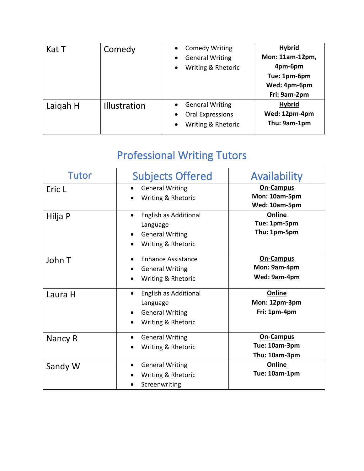| Kat T    | Comedy              | <b>Comedy Writing</b><br>$\bullet$  | <b>Hybrid</b>   |
|----------|---------------------|-------------------------------------|-----------------|
|          |                     | <b>General Writing</b><br>$\bullet$ | Mon: 11am-12pm, |
|          |                     | Writing & Rhetoric<br>$\bullet$     | 4pm-6pm         |
|          |                     |                                     | Tue: 1pm-6pm    |
|          |                     |                                     | Wed: 4pm-6pm    |
|          |                     |                                     | Fri: 9am-2pm    |
| Laigah H | <b>Illustration</b> | <b>General Writing</b><br>$\bullet$ | <b>Hybrid</b>   |
|          |                     | Oral Expressions                    | Wed: 12pm-4pm   |
|          |                     | Writing & Rhetoric<br>$\bullet$     | Thu: 9am-1pm    |
|          |                     |                                     |                 |

## Professional Writing Tutors

| <b>Tutor</b> | <b>Subjects Offered</b>             | Availability     |
|--------------|-------------------------------------|------------------|
| Eric L       | <b>General Writing</b>              | <b>On-Campus</b> |
|              | Writing & Rhetoric                  | Mon: 10am-5pm    |
|              |                                     | Wed: 10am-5pm    |
| Hilja P      | English as Additional               | Online           |
|              | Language                            | Tue: 1pm-5pm     |
|              | <b>General Writing</b>              | Thu: 1pm-5pm     |
|              | Writing & Rhetoric                  |                  |
| John T       | <b>Enhance Assistance</b>           | On-Campus        |
|              | <b>General Writing</b>              | Mon: 9am-4pm     |
|              | Writing & Rhetoric                  | Wed: 9am-4pm     |
| Laura H      | English as Additional               | Online           |
|              | Language                            | Mon: 12pm-3pm    |
|              | <b>General Writing</b>              | Fri: 1pm-4pm     |
|              | Writing & Rhetoric                  |                  |
| Nancy R      | <b>General Writing</b>              | <b>On-Campus</b> |
|              | Writing & Rhetoric                  | Tue: 10am-3pm    |
|              |                                     | Thu: 10am-3pm    |
| Sandy W      | <b>General Writing</b><br>$\bullet$ | Online           |
|              | Writing & Rhetoric                  | Tue: 10am-1pm    |
|              | Screenwriting                       |                  |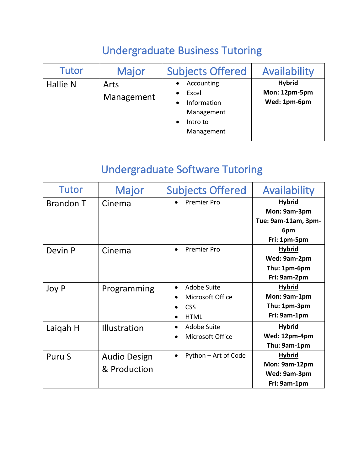### Undergraduate Business Tutoring

| <b>Tutor</b> | <b>Major</b>       | <b>Subjects Offered</b>                                                    | Availability                                   |
|--------------|--------------------|----------------------------------------------------------------------------|------------------------------------------------|
| Hallie N     | Arts<br>Management | Accounting<br>Excel<br>Information<br>Management<br>Intro to<br>Management | <b>Hybrid</b><br>Mon: 12pm-5pm<br>Wed: 1pm-6pm |

### Undergraduate Software Tutoring

| Tutor            | <b>Major</b>        | <b>Subjects Offered</b>         | Availability        |
|------------------|---------------------|---------------------------------|---------------------|
| <b>Brandon T</b> | Cinema              | <b>Premier Pro</b>              | <b>Hybrid</b>       |
|                  |                     |                                 | Mon: 9am-3pm        |
|                  |                     |                                 | Tue: 9am-11am, 3pm- |
|                  |                     |                                 | 6pm                 |
|                  |                     |                                 | Fri: 1pm-5pm        |
| Devin P          | Cinema              | <b>Premier Pro</b><br>$\bullet$ | <b>Hybrid</b>       |
|                  |                     |                                 | Wed: 9am-2pm        |
|                  |                     |                                 | Thu: 1pm-6pm        |
|                  |                     |                                 | Fri: 9am-2pm        |
| Joy P            | Programming         | Adobe Suite                     | <b>Hybrid</b>       |
|                  |                     | Microsoft Office                | Mon: 9am-1pm        |
|                  |                     | <b>CSS</b>                      | Thu: 1pm-3pm        |
|                  |                     | <b>HTML</b>                     | Fri: 9am-1pm        |
| Laigah H         | <b>Illustration</b> | Adobe Suite                     | <b>Hybrid</b>       |
|                  |                     | Microsoft Office                | Wed: 12pm-4pm       |
|                  |                     |                                 | Thu: 9am-1pm        |
| Puru S           | <b>Audio Design</b> | Python - Art of Code            | <b>Hybrid</b>       |
|                  | & Production        |                                 | Mon: 9am-12pm       |
|                  |                     |                                 | Wed: 9am-3pm        |
|                  |                     |                                 | Fri: 9am-1pm        |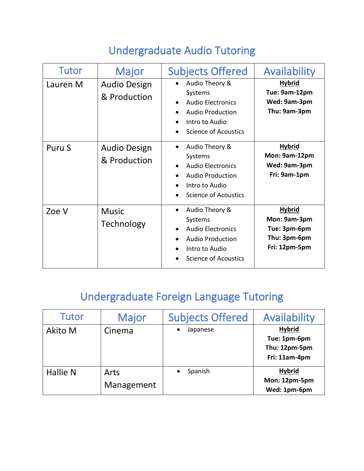### Undergraduate Audio Tutoring

| <b>Tutor</b> | <b>Major</b>                        | <b>Subjects Offered</b>                                                                                                                        | Availability                                                                   |
|--------------|-------------------------------------|------------------------------------------------------------------------------------------------------------------------------------------------|--------------------------------------------------------------------------------|
| Lauren M     | <b>Audio Design</b><br>& Production | Audio Theory &<br>Systems<br><b>Audio Electronics</b><br>$\bullet$<br><b>Audio Production</b><br>Intro to Audio<br>Science of Acoustics        | <b>Hybrid</b><br>Tue: 9am-12pm<br>Wed: 9am-3pm<br>Thu: 9am-3pm                 |
| Puru S       | <b>Audio Design</b><br>& Production | Audio Theory &<br>Systems<br><b>Audio Electronics</b><br><b>Audio Production</b><br>Intro to Audio<br><b>Science of Acoustics</b>              | <b>Hybrid</b><br>Mon: 9am-12pm<br>Wed: 9am-3pm<br>Fri: 9am-1pm                 |
| Zoe V        | <b>Music</b><br>Technology          | Audio Theory &<br>$\bullet$<br>Systems<br><b>Audio Electronics</b><br><b>Audio Production</b><br>Intro to Audio<br><b>Science of Acoustics</b> | <b>Hybrid</b><br>Mon: 9am-3pm<br>Tue: 3pm-6pm<br>Thu: 3pm-6pm<br>Fri: 12pm-5pm |

# Undergraduate Foreign Language Tutoring

| Tutor           | Major              | <b>Subjects Offered</b> | Availability                                                    |
|-----------------|--------------------|-------------------------|-----------------------------------------------------------------|
| <b>Akito M</b>  | Cinema             | Japanese                | <b>Hybrid</b><br>Tue: 1pm-6pm<br>Thu: 12pm-5pm<br>Fri: 11am-4pm |
| <b>Hallie N</b> | Arts<br>Management | Spanish                 | <b>Hybrid</b><br>Mon: 12pm-5pm<br>Wed: 1pm-6pm                  |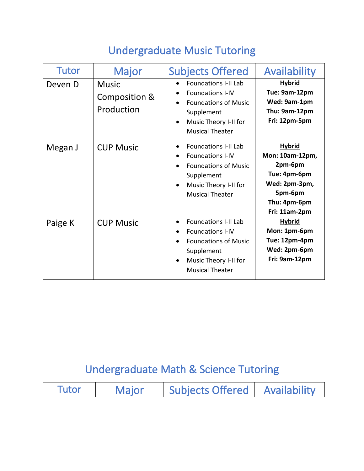### Undergraduate Music Tutoring

| <b>Tutor</b> | Major                                       | <b>Subjects Offered</b>                                                                                                                                             | Availability                                                                                                             |
|--------------|---------------------------------------------|---------------------------------------------------------------------------------------------------------------------------------------------------------------------|--------------------------------------------------------------------------------------------------------------------------|
| Deven D      | <b>Music</b><br>Composition &<br>Production | <b>Foundations I-II Lab</b><br><b>Foundations I-IV</b><br><b>Foundations of Music</b><br>Supplement<br>Music Theory I-II for<br>$\bullet$<br><b>Musical Theater</b> | <b>Hybrid</b><br>Tue: 9am-12pm<br>Wed: 9am-1pm<br>Thu: 9am-12pm<br>Fri: 12pm-5pm                                         |
| Megan J      | <b>CUP Music</b>                            | <b>Foundations I-II Lab</b><br>$\bullet$<br><b>Foundations I-IV</b><br><b>Foundations of Music</b><br>Supplement<br>Music Theory I-II for<br><b>Musical Theater</b> | <b>Hybrid</b><br>Mon: 10am-12pm,<br>2pm-6pm<br>Tue: 4pm-6pm<br>Wed: 2pm-3pm,<br>5pm-6pm<br>Thu: 4pm-6pm<br>Fri: 11am-2pm |
| Paige K      | <b>CUP Music</b>                            | <b>Foundations I-II Lab</b><br><b>Foundations I-IV</b><br><b>Foundations of Music</b><br>Supplement<br>Music Theory I-II for<br><b>Musical Theater</b>              | <b>Hybrid</b><br>Mon: 1pm-6pm<br>Tue: 12pm-4pm<br>Wed: 2pm-6pm<br>Fri: 9am-12pm                                          |

### Undergraduate Math & Science Tutoring

|  | Tutor | <b>Maior</b> | Subjects Offered | Availability |
|--|-------|--------------|------------------|--------------|
|--|-------|--------------|------------------|--------------|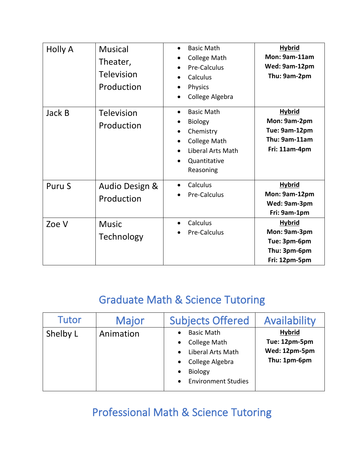| <b>Holly A</b> | <b>Musical</b><br>Theater,<br>Television<br>Production | <b>Basic Math</b><br>College Math<br>Pre-Calculus<br>Calculus<br>Physics<br>$\bullet$<br>College Algebra<br>$\bullet$           | <b>Hybrid</b><br>Mon: 9am-11am<br>Wed: 9am-12pm<br>Thu: 9am-2pm                  |
|----------------|--------------------------------------------------------|---------------------------------------------------------------------------------------------------------------------------------|----------------------------------------------------------------------------------|
| Jack B         | Television<br>Production                               | <b>Basic Math</b><br>$\bullet$<br>Biology<br>Chemistry<br>College Math<br><b>Liberal Arts Math</b><br>Quantitative<br>Reasoning | <b>Hybrid</b><br>Mon: 9am-2pm<br>Tue: 9am-12pm<br>Thu: 9am-11am<br>Fri: 11am-4pm |
| Puru S         | Audio Design &<br>Production                           | Calculus<br>Pre-Calculus                                                                                                        | <b>Hybrid</b><br>Mon: 9am-12pm<br>Wed: 9am-3pm<br>Fri: 9am-1pm                   |
| Zoe V          | <b>Music</b><br>Technology                             | Calculus<br>$\bullet$<br>Pre-Calculus                                                                                           | <b>Hybrid</b><br>Mon: 9am-3pm<br>Tue: 3pm-6pm<br>Thu: 3pm-6pm<br>Fri: 12pm-5pm   |

#### Graduate Math & Science Tutoring

| <b>Tutor</b> | Major     | <b>Subjects Offered</b>                                                                                                                                                              | Availability                                                    |
|--------------|-----------|--------------------------------------------------------------------------------------------------------------------------------------------------------------------------------------|-----------------------------------------------------------------|
| Shelby L     | Animation | <b>Basic Math</b><br><b>College Math</b><br>$\bullet$<br>Liberal Arts Math<br>$\bullet$<br>College Algebra<br>$\bullet$<br><b>Biology</b><br>$\bullet$<br><b>Environment Studies</b> | <b>Hybrid</b><br>Tue: 12pm-5pm<br>Wed: 12pm-5pm<br>Thu: 1pm-6pm |

### Professional Math & Science Tutoring